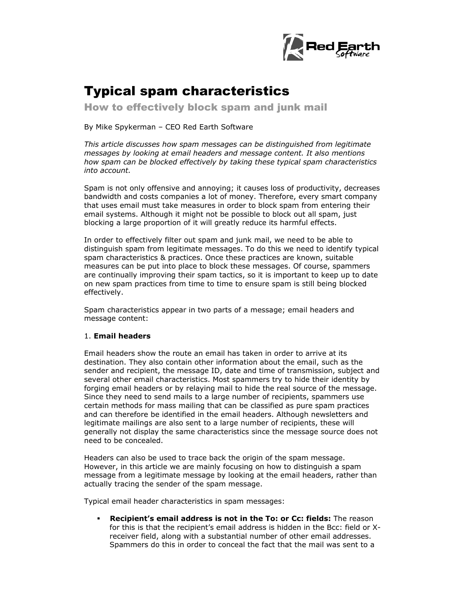

# Typical spam characteristics

How to effectively block spam and junk mail

By Mike Spykerman – CEO Red Earth Software

*This article discusses how spam messages can be distinguished from legitimate messages by looking at email headers and message content. It also mentions how spam can be blocked effectively by taking these typical spam characteristics into account.* 

Spam is not only offensive and annoying; it causes loss of productivity, decreases bandwidth and costs companies a lot of money. Therefore, every smart company that uses email must take measures in order to block spam from entering their email systems. Although it might not be possible to block out all spam, just blocking a large proportion of it will greatly reduce its harmful effects.

In order to effectively filter out spam and junk mail, we need to be able to distinguish spam from legitimate messages. To do this we need to identify typical spam characteristics & practices. Once these practices are known, suitable measures can be put into place to block these messages. Of course, spammers are continually improving their spam tactics, so it is important to keep up to date on new spam practices from time to time to ensure spam is still being blocked effectively.

Spam characteristics appear in two parts of a message; email headers and message content:

## 1. **Email headers**

Email headers show the route an email has taken in order to arrive at its destination. They also contain other information about the email, such as the sender and recipient, the message ID, date and time of transmission, subject and several other email characteristics. Most spammers try to hide their identity by forging email headers or by relaying mail to hide the real source of the message. Since they need to send mails to a large number of recipients, spammers use certain methods for mass mailing that can be classified as pure spam practices and can therefore be identified in the email headers. Although newsletters and legitimate mailings are also sent to a large number of recipients, these will generally not display the same characteristics since the message source does not need to be concealed.

Headers can also be used to trace back the origin of the spam message. However, in this article we are mainly focusing on how to distinguish a spam message from a legitimate message by looking at the email headers, rather than actually tracing the sender of the spam message.

Typical email header characteristics in spam messages:

 **Recipient's email address is not in the To: or Cc: fields:** The reason for this is that the recipient's email address is hidden in the Bcc: field or Xreceiver field, along with a substantial number of other email addresses. Spammers do this in order to conceal the fact that the mail was sent to a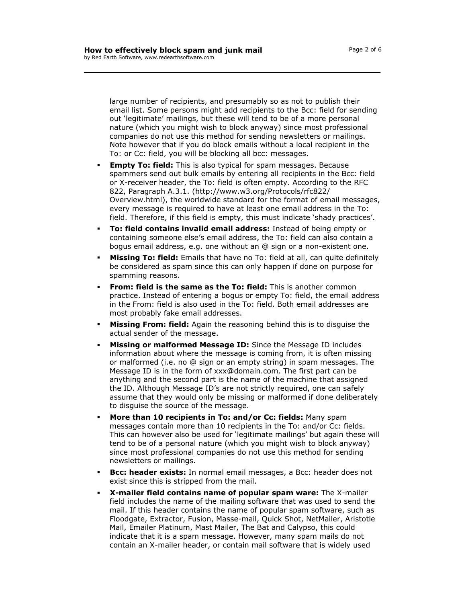large number of recipients, and presumably so as not to publish their email list. Some persons might add recipients to the Bcc: field for sending out 'legitimate' mailings, but these will tend to be of a more personal nature (which you might wish to block anyway) since most professional companies do not use this method for sending newsletters or mailings. Note however that if you do block emails without a local recipient in the To: or Cc: field, you will be blocking all bcc: messages.

- **Empty To: field:** This is also typical for spam messages. Because spammers send out bulk emails by entering all recipients in the Bcc: field or X-receiver header, the To: field is often empty. According to the RFC 822, Paragraph A.3.1. (http://www.w3.org/Protocols/rfc822/ Overview.html), the worldwide standard for the format of email messages, every message is required to have at least one email address in the To: field. Therefore, if this field is empty, this must indicate 'shady practices'.
- **To: field contains invalid email address:** Instead of being empty or containing someone else's email address, the To: field can also contain a bogus email address, e.g. one without an @ sign or a non-existent one.
- **Missing To: field:** Emails that have no To: field at all, can quite definitely be considered as spam since this can only happen if done on purpose for spamming reasons.
- **From: field is the same as the To: field:** This is another common practice. Instead of entering a bogus or empty To: field, the email address in the From: field is also used in the To: field. Both email addresses are most probably fake email addresses.
- **Missing From: field:** Again the reasoning behind this is to disguise the actual sender of the message.
- **Missing or malformed Message ID:** Since the Message ID includes information about where the message is coming from, it is often missing or malformed (i.e. no @ sign or an empty string) in spam messages. The Message ID is in the form of xxx@domain.com. The first part can be anything and the second part is the name of the machine that assigned the ID. Although Message ID's are not strictly required, one can safely assume that they would only be missing or malformed if done deliberately to disguise the source of the message.
- **More than 10 recipients in To: and/or Cc: fields:** Many spam messages contain more than 10 recipients in the To: and/or Cc: fields. This can however also be used for 'legitimate mailings' but again these will tend to be of a personal nature (which you might wish to block anyway) since most professional companies do not use this method for sending newsletters or mailings.
- **Bcc: header exists:** In normal email messages, a Bcc: header does not exist since this is stripped from the mail.
- **X-mailer field contains name of popular spam ware:** The X-mailer field includes the name of the mailing software that was used to send the mail. If this header contains the name of popular spam software, such as Floodgate, Extractor, Fusion, Masse-mail, Quick Shot, NetMailer, Aristotle Mail, Emailer Platinum, Mast Mailer, The Bat and Calypso, this could indicate that it is a spam message. However, many spam mails do not contain an X-mailer header, or contain mail software that is widely used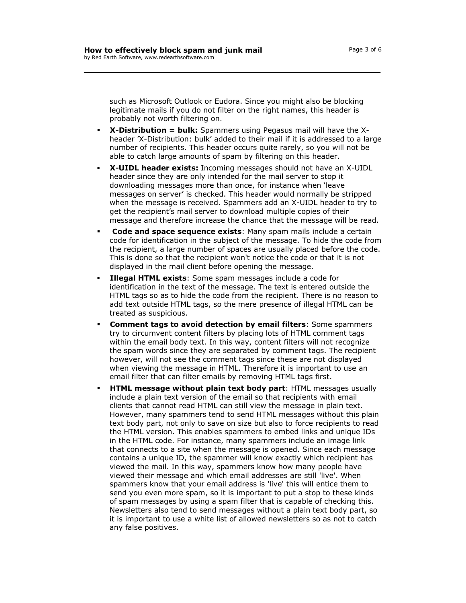such as Microsoft Outlook or Eudora. Since you might also be blocking legitimate mails if you do not filter on the right names, this header is probably not worth filtering on.

- **X-Distribution = bulk:** Spammers using Pegasus mail will have the Xheader 'X-Distribution: bulk' added to their mail if it is addressed to a large number of recipients. This header occurs quite rarely, so you will not be able to catch large amounts of spam by filtering on this header.
- **X-UIDL header exists:** Incoming messages should not have an X-UIDL header since they are only intended for the mail server to stop it downloading messages more than once, for instance when 'leave messages on server' is checked. This header would normally be stripped when the message is received. Spammers add an X-UIDL header to try to get the recipient's mail server to download multiple copies of their message and therefore increase the chance that the message will be read.
- **Code and space sequence exists**: Many spam mails include a certain code for identification in the subject of the message. To hide the code from the recipient, a large number of spaces are usually placed before the code. This is done so that the recipient won't notice the code or that it is not displayed in the mail client before opening the message.
- **Illegal HTML exists**: Some spam messages include a code for identification in the text of the message. The text is entered outside the HTML tags so as to hide the code from the recipient. There is no reason to add text outside HTML tags, so the mere presence of illegal HTML can be treated as suspicious.
- **Comment tags to avoid detection by email filters**: Some spammers try to circumvent content filters by placing lots of HTML comment tags within the email body text. In this way, content filters will not recognize the spam words since they are separated by comment tags. The recipient however, will not see the comment tags since these are not displayed when viewing the message in HTML. Therefore it is important to use an email filter that can filter emails by removing HTML tags first.
- **HTML message without plain text body part**: HTML messages usually include a plain text version of the email so that recipients with email clients that cannot read HTML can still view the message in plain text. However, many spammers tend to send HTML messages without this plain text body part, not only to save on size but also to force recipients to read the HTML version. This enables spammers to embed links and unique IDs in the HTML code. For instance, many spammers include an image link that connects to a site when the message is opened. Since each message contains a unique ID, the spammer will know exactly which recipient has viewed the mail. In this way, spammers know how many people have viewed their message and which email addresses are still 'live'. When spammers know that your email address is 'live' this will entice them to send you even more spam, so it is important to put a stop to these kinds of spam messages by using a [spam filter](http://www.policypatrol.com/policypatrolenterprise.htm) that is capable of checking this. Newsletters also tend to send messages without a plain text body part, so it is important to use a white list of allowed newsletters so as not to catch any false positives.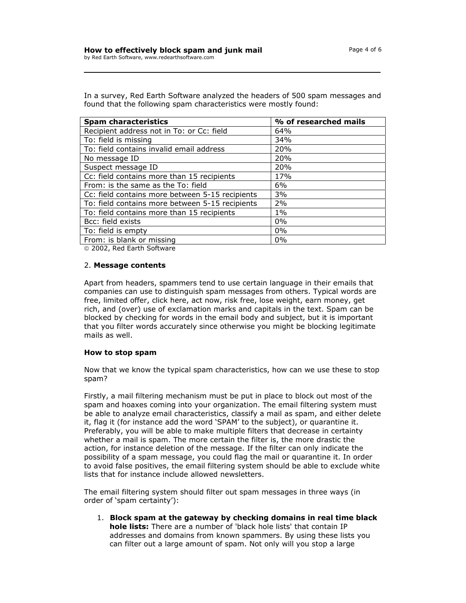In a survey, Red Earth Software analyzed the headers of 500 spam messages and found that the following spam characteristics were mostly found:

| <b>Spam characteristics</b>                     | % of researched mails |
|-------------------------------------------------|-----------------------|
| Recipient address not in To: or Cc: field       | 64%                   |
| To: field is missing                            | 34%                   |
| To: field contains invalid email address        | 20%                   |
| No message ID                                   | 20%                   |
| Suspect message ID                              | 20%                   |
| Cc: field contains more than 15 recipients      | 17%                   |
| From: is the same as the To: field              | 6%                    |
| Cc: field contains more between 5-15 recipients | 3%                    |
| To: field contains more between 5-15 recipients | 2%                    |
| To: field contains more than 15 recipients      | $1\%$                 |
| Bcc: field exists                               | $0\%$                 |
| To: field is empty                              | 0%                    |
| From: is blank or missing                       | $0\%$                 |

2002, Red Earth Software

## 2. **Message contents**

Apart from headers, spammers tend to use certain language in their emails that companies can use to distinguish spam messages from others. Typical words are free, limited offer, click here, act now, risk free, lose weight, earn money, get rich, and (over) use of exclamation marks and capitals in the text. Spam can be blocked by checking for words in the email body and subject, but it is important that you filter words accurately since otherwise you might be blocking legitimate mails as well.

#### **How to stop spam**

Now that we know the typical spam characteristics, how can we use these to stop spam?

Firstly, a mail filtering mechanism must be put in place to block out most of the spam and hoaxes coming into your organization. The email filtering system must be able to analyze email characteristics, classify a mail as spam, and either delete it, flag it (for instance add the word 'SPAM' to the subject), or quarantine it. Preferably, you will be able to make multiple filters that decrease in certainty whether a mail is spam. The more certain the filter is, the more drastic the action, for instance deletion of the message. If the filter can only indicate the possibility of a spam message, you could flag the mail or quarantine it. In order to avoid false positives, the email filtering system should be able to exclude white lists that for instance include allowed newsletters.

The email filtering system should filter out spam messages in three ways (in order of 'spam certainty'):

1. **Block spam at the gateway by checking domains in real time black hole lists:** There are a number of 'black hole lists' that contain IP addresses and domains from known spammers. By using these lists you can filter out a large amount of spam. Not only will you stop a large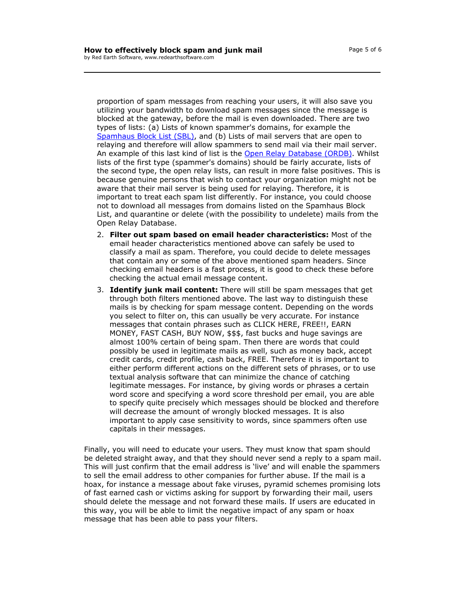proportion of spam messages from reaching your users, it will also save you utilizing your bandwidth to download spam messages since the message is blocked at the gateway, before the mail is even downloaded. There are two types of lists: (a) Lists of known spammer's domains, for example the Spamhaus Block List (SBL), and (b) Lists of mail servers that are open to relaying and therefore will allow spammers to send mail via their mail server. An example of this last kind of list is the Open Relay Database (ORDB). Whilst lists of the first type (spammer's domains) should be fairly accurate, lists of the second type, the open relay lists, can result in more false positives. This is because genuine persons that wish to contact your organization might not be aware that their mail server is being used for relaying. Therefore, it is important to treat each spam list differently. For instance, you could choose not to download all messages from domains listed on the Spamhaus Block List, and quarantine or delete (with the possibility to undelete) mails from the Open Relay Database.

- 2. **Filter out spam based on email header characteristics:** Most of the email header characteristics mentioned above can safely be used to classify a mail as spam. Therefore, you could decide to delete messages that contain any or some of the above mentioned spam headers. Since checking email headers is a fast process, it is good to check these before checking the actual email message content.
- 3. **Identify junk mail content:** There will still be spam messages that get through both filters mentioned above. The last way to distinguish these mails is by checking for spam message content. Depending on the words you select to filter on, this can usually be very accurate. For instance messages that contain phrases such as CLICK HERE, FREE!!, EARN MONEY, FAST CASH, BUY NOW, \$\$\$, fast bucks and huge savings are almost 100% certain of being spam. Then there are words that could possibly be used in legitimate mails as well, such as money back, accept credit cards, credit profile, cash back, FREE. Therefore it is important to either perform different actions on the different sets of phrases, or to use textual analysis software that can minimize the chance of catching legitimate messages. For instance, by giving words or phrases a certain word score and specifying a word score threshold per email, you are able to specify quite precisely which messages should be blocked and therefore will decrease the amount of wrongly blocked messages. It is also important to apply case sensitivity to words, since spammers often use capitals in their messages.

Finally, you will need to educate your users. They must know that spam should be deleted straight away, and that they should never send a reply to a spam mail. This will just confirm that the email address is 'live' and will enable the spammers to sell the email address to other companies for further abuse. If the mail is a hoax, for instance a message about fake viruses, pyramid schemes promising lots of fast earned cash or victims asking for support by forwarding their mail, users should delete the message and not forward these mails. If users are educated in this way, you will be able to limit the negative impact of any spam or hoax message that has been able to pass your filters.